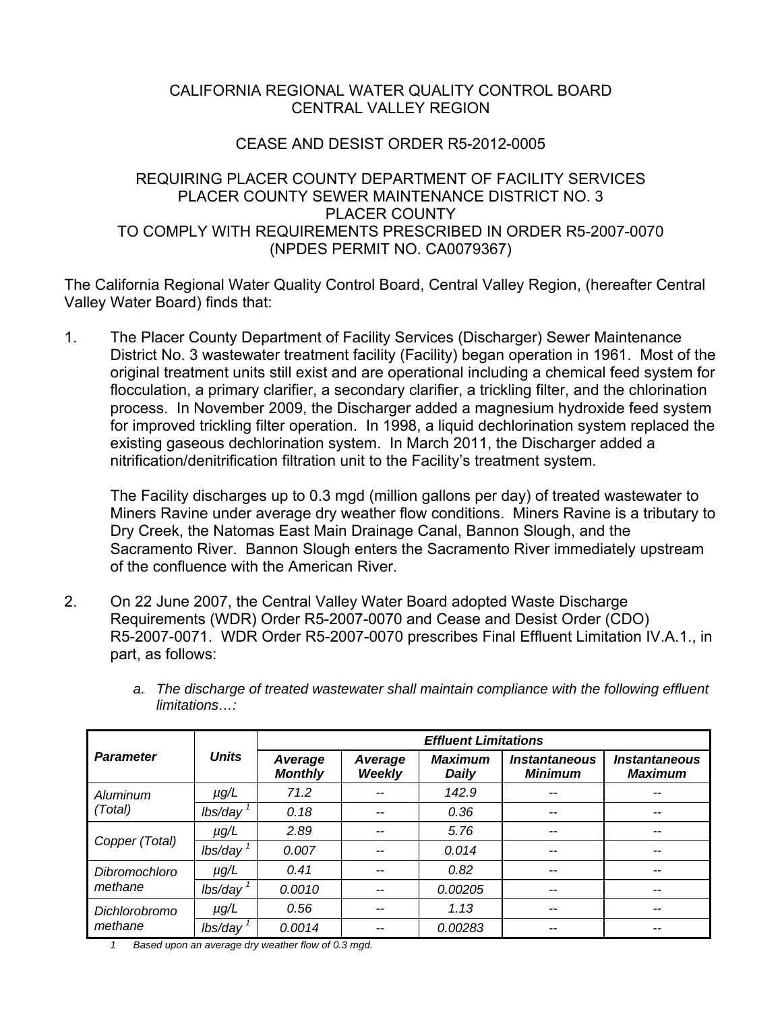# CALIFORNIA REGIONAL WATER QUALITY CONTROL BOARD CENTRAL VALLEY REGION

# CEASE AND DESIST ORDER R5-2012-0005

# REQUIRING PLACER COUNTY DEPARTMENT OF FACILITY SERVICES PLACER COUNTY SEWER MAINTENANCE DISTRICT NO. 3 PLACER COUNTY TO COMPLY WITH REQUIREMENTS PRESCRIBED IN ORDER R5-2007-0070 (NPDES PERMIT NO. CA0079367)

The California Regional Water Quality Control Board, Central Valley Region, (hereafter Central Valley Water Board) finds that:

1. The Placer County Department of Facility Services (Discharger) Sewer Maintenance District No. 3 wastewater treatment facility (Facility) began operation in 1961. Most of the original treatment units still exist and are operational including a chemical feed system for flocculation, a primary clarifier, a secondary clarifier, a trickling filter, and the chlorination process. In November 2009, the Discharger added a magnesium hydroxide feed system for improved trickling filter operation. In 1998, a liquid dechlorination system replaced the existing gaseous dechlorination system. In March 2011, the Discharger added a nitrification/denitrification filtration unit to the Facility's treatment system.

The Facility discharges up to 0.3 mgd (million gallons per day) of treated wastewater to Miners Ravine under average dry weather flow conditions. Miners Ravine is a tributary to Dry Creek, the Natomas East Main Drainage Canal, Bannon Slough, and the Sacramento River. Bannon Slough enters the Sacramento River immediately upstream of the confluence with the American River.

2. On 22 June 2007, the Central Valley Water Board adopted Waste Discharge Requirements (WDR) Order R5-2007-0070 and Cease and Desist Order (CDO) R5-2007-0071. WDR Order R5-2007-0070 prescribes Final Effluent Limitation IV.A.1., in part, as follows:

|                                 | <b>Units</b>           | <b>Effluent Limitations</b> |                          |                                |                                               |                                               |  |
|---------------------------------|------------------------|-----------------------------|--------------------------|--------------------------------|-----------------------------------------------|-----------------------------------------------|--|
| <b>Parameter</b>                |                        | Average<br><b>Monthly</b>   | Average<br><b>Weekly</b> | <b>Maximum</b><br><b>Daily</b> | <i><b>Instantaneous</b></i><br><b>Minimum</b> | <i><b>Instantaneous</b></i><br><b>Maximum</b> |  |
| Aluminum<br>(Total)             | $\mu g/L$              | 71.2                        |                          | 142.9                          |                                               | --                                            |  |
|                                 | $lbs/day$ <sup>1</sup> | 0.18                        | --                       | 0.36                           |                                               | --                                            |  |
| Copper (Total)                  | $\mu g/L$              | 2.89                        | --                       | 5.76                           | --                                            | --                                            |  |
|                                 | $lbs/day$ <sup>1</sup> | 0.007                       | --                       | 0.014                          | --                                            | $- -$                                         |  |
| <b>Dibromochloro</b><br>methane | $\mu$ g/L              | 0.41                        |                          | 0.82                           | --                                            | --                                            |  |
|                                 | lbs/day                | 0.0010                      |                          | 0.00205                        | --                                            | --                                            |  |
| <b>Dichlorobromo</b><br>methane | $\mu$ g/L              | 0.56                        | --                       | 1.13                           | --                                            | $- -$                                         |  |
|                                 | lbs/day                | 0.0014                      |                          | 0.00283                        | --                                            | $- -$                                         |  |

*a. The discharge of treated wastewater shall maintain compliance with the following effluent limitations…:* 

*1 Based upon an average dry weather flow of 0.3 mgd.*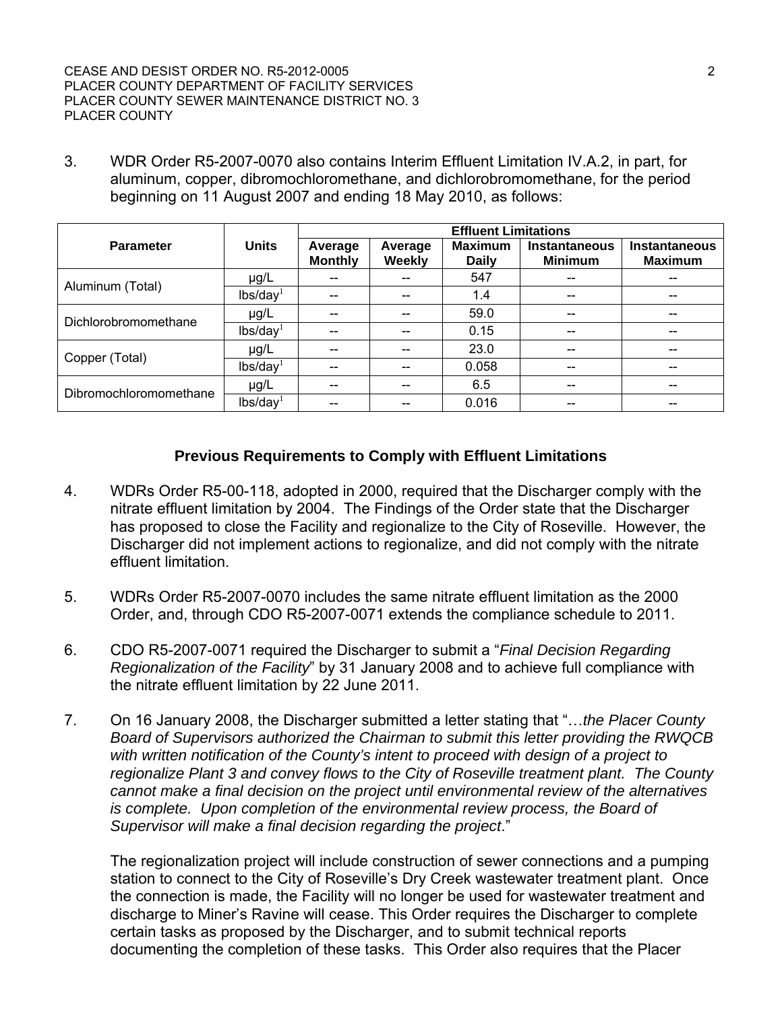3. WDR Order R5-2007-0070 also contains Interim Effluent Limitation IV.A.2, in part, for aluminum, copper, dibromochloromethane, and dichlorobromomethane, for the period beginning on 11 August 2007 and ending 18 May 2010, as follows:

|                        |                      | <b>Effluent Limitations</b> |                          |                                |                                        |                                        |  |
|------------------------|----------------------|-----------------------------|--------------------------|--------------------------------|----------------------------------------|----------------------------------------|--|
| <b>Parameter</b>       | <b>Units</b>         | Average<br><b>Monthly</b>   | Average<br><b>Weekly</b> | <b>Maximum</b><br><b>Daily</b> | <b>Instantaneous</b><br><b>Minimum</b> | <b>Instantaneous</b><br><b>Maximum</b> |  |
| Aluminum (Total)       | $\mu$ g/L            |                             |                          | 547                            |                                        |                                        |  |
|                        | lbs/day <sup>1</sup> |                             |                          | 1.4                            |                                        |                                        |  |
| Dichlorobromomethane   | $\mu$ g/L            | --                          |                          | 59.0                           | --                                     |                                        |  |
|                        | lbs/day <sup>1</sup> | --                          |                          | 0.15                           | --                                     |                                        |  |
|                        | $\mu$ g/L            |                             |                          | 23.0                           |                                        |                                        |  |
| Copper (Total)         | lbs/day <sup>1</sup> |                             |                          | 0.058                          |                                        |                                        |  |
| Dibromochloromomethane | $\mu$ g/L            |                             |                          | 6.5                            |                                        |                                        |  |
|                        | lbs/day <sup>1</sup> |                             |                          | 0.016                          |                                        |                                        |  |

#### **Previous Requirements to Comply with Effluent Limitations**

- 4. WDRs Order R5-00-118, adopted in 2000, required that the Discharger comply with the nitrate effluent limitation by 2004. The Findings of the Order state that the Discharger has proposed to close the Facility and regionalize to the City of Roseville. However, the Discharger did not implement actions to regionalize, and did not comply with the nitrate effluent limitation.
- 5. WDRs Order R5-2007-0070 includes the same nitrate effluent limitation as the 2000 Order, and, through CDO R5-2007-0071 extends the compliance schedule to 2011.
- 6. CDO R5-2007-0071 required the Discharger to submit a "*Final Decision Regarding Regionalization of the Facility*" by 31 January 2008 and to achieve full compliance with the nitrate effluent limitation by 22 June 2011.
- 7. On 16 January 2008, the Discharger submitted a letter stating that "…*the Placer County Board of Supervisors authorized the Chairman to submit this letter providing the RWQCB with written notification of the County's intent to proceed with design of a project to regionalize Plant 3 and convey flows to the City of Roseville treatment plant. The County cannot make a final decision on the project until environmental review of the alternatives is complete. Upon completion of the environmental review process, the Board of Supervisor will make a final decision regarding the project*."

The regionalization project will include construction of sewer connections and a pumping station to connect to the City of Roseville's Dry Creek wastewater treatment plant. Once the connection is made, the Facility will no longer be used for wastewater treatment and discharge to Miner's Ravine will cease. This Order requires the Discharger to complete certain tasks as proposed by the Discharger, and to submit technical reports documenting the completion of these tasks. This Order also requires that the Placer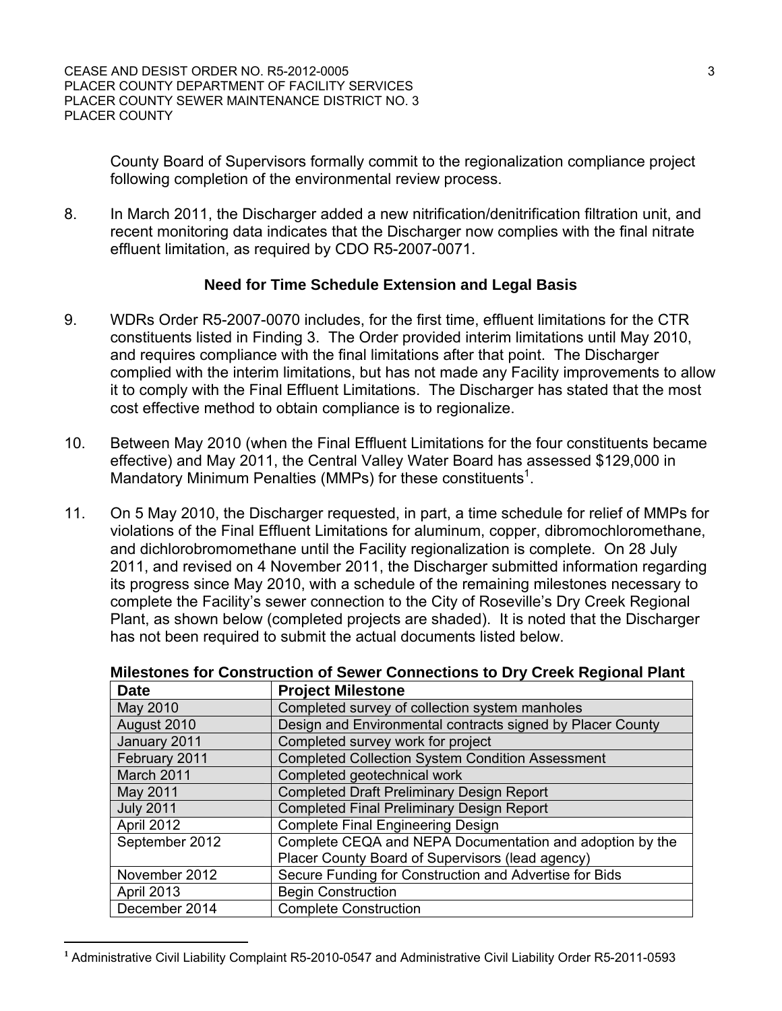County Board of Supervisors formally commit to the regionalization compliance project following completion of the environmental review process.

8. In March 2011, the Discharger added a new nitrification/denitrification filtration unit, and recent monitoring data indicates that the Discharger now complies with the final nitrate effluent limitation, as required by CDO R5-2007-0071.

#### **Need for Time Schedule Extension and Legal Basis**

- 9. WDRs Order R5-2007-0070 includes, for the first time, effluent limitations for the CTR constituents listed in Finding 3. The Order provided interim limitations until May 2010, and requires compliance with the final limitations after that point. The Discharger complied with the interim limitations, but has not made any Facility improvements to allow it to comply with the Final Effluent Limitations. The Discharger has stated that the most cost effective method to obtain compliance is to regionalize.
- 10. Between May 2010 (when the Final Effluent Limitations for the four constituents became effective) and May 2011, the Central Valley Water Board has assessed \$129,000 in Mandatory Minimum Penalties (MMPs) for these constituents<sup>1</sup>.
- 11. On 5 May 2010, the Discharger requested, in part, a time schedule for relief of MMPs for violations of the Final Effluent Limitations for aluminum, copper, dibromochloromethane, and dichlorobromomethane until the Facility regionalization is complete. On 28 July 2011, and revised on 4 November 2011, the Discharger submitted information regarding its progress since May 2010, with a schedule of the remaining milestones necessary to complete the Facility's sewer connection to the City of Roseville's Dry Creek Regional Plant, as shown below (completed projects are shaded). It is noted that the Discharger has not been required to submit the actual documents listed below.

| <b>Date</b>      | <b>Project Milestone</b>                                   |
|------------------|------------------------------------------------------------|
| May 2010         | Completed survey of collection system manholes             |
| August 2010      | Design and Environmental contracts signed by Placer County |
| January 2011     | Completed survey work for project                          |
| February 2011    | <b>Completed Collection System Condition Assessment</b>    |
| March 2011       | Completed geotechnical work                                |
| May 2011         | <b>Completed Draft Preliminary Design Report</b>           |
| <b>July 2011</b> | <b>Completed Final Preliminary Design Report</b>           |
| April 2012       | <b>Complete Final Engineering Design</b>                   |
| September 2012   | Complete CEQA and NEPA Documentation and adoption by the   |
|                  | Placer County Board of Supervisors (lead agency)           |
| November 2012    | Secure Funding for Construction and Advertise for Bids     |
| April 2013       | <b>Begin Construction</b>                                  |
| December 2014    | <b>Complete Construction</b>                               |

# **Milestones for Construction of Sewer Connections to Dry Creek Regional Plant**

**<sup>1</sup>** Administrative Civil Liability Complaint R5-2010-0547 and Administrative Civil Liability Order R5-2011-0593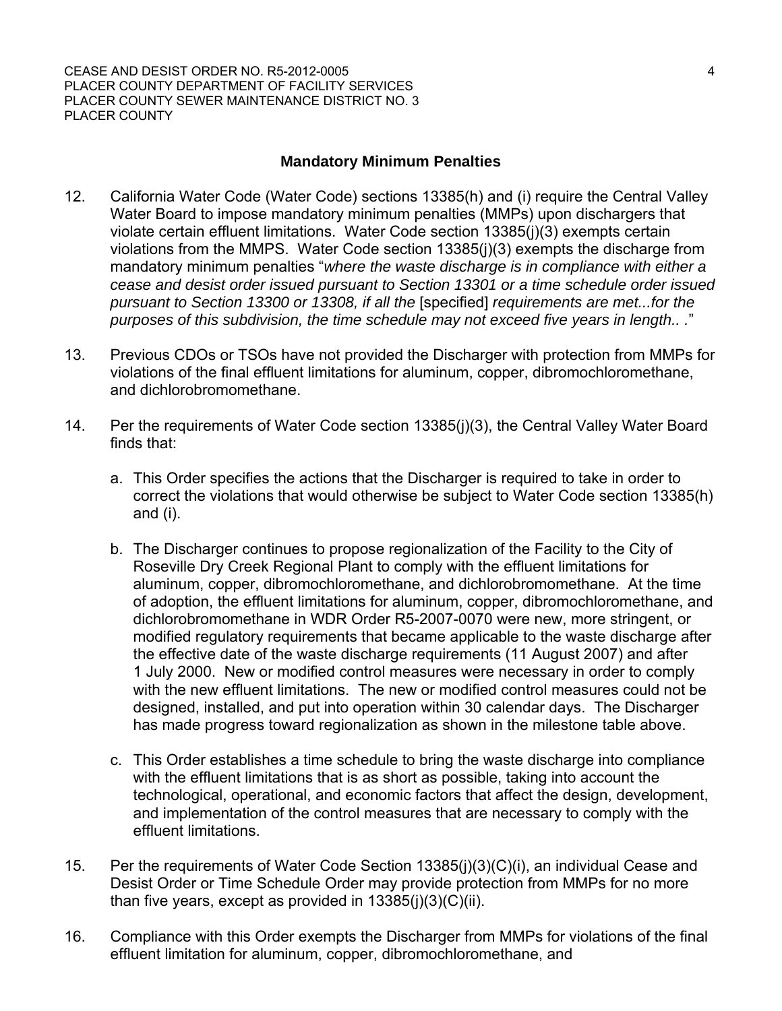# **Mandatory Minimum Penalties**

- 12. California Water Code (Water Code) sections 13385(h) and (i) require the Central Valley Water Board to impose mandatory minimum penalties (MMPs) upon dischargers that violate certain effluent limitations. Water Code section 13385(j)(3) exempts certain violations from the MMPS. Water Code section 13385(j)(3) exempts the discharge from mandatory minimum penalties "*where the waste discharge is in compliance with either a cease and desist order issued pursuant to Section 13301 or a time schedule order issued pursuant to Section 13300 or 13308, if all the* [specified] *requirements are met...for the purposes of this subdivision, the time schedule may not exceed five years in length.. .*"
- 13. Previous CDOs or TSOs have not provided the Discharger with protection from MMPs for violations of the final effluent limitations for aluminum, copper, dibromochloromethane, and dichlorobromomethane.
- 14. Per the requirements of Water Code section 13385(j)(3), the Central Valley Water Board finds that:
	- a. This Order specifies the actions that the Discharger is required to take in order to correct the violations that would otherwise be subject to Water Code section 13385(h) and (i).
	- b. The Discharger continues to propose regionalization of the Facility to the City of Roseville Dry Creek Regional Plant to comply with the effluent limitations for aluminum, copper, dibromochloromethane, and dichlorobromomethane. At the time of adoption, the effluent limitations for aluminum, copper, dibromochloromethane, and dichlorobromomethane in WDR Order R5-2007-0070 were new, more stringent, or modified regulatory requirements that became applicable to the waste discharge after the effective date of the waste discharge requirements (11 August 2007) and after 1 July 2000. New or modified control measures were necessary in order to comply with the new effluent limitations. The new or modified control measures could not be designed, installed, and put into operation within 30 calendar days. The Discharger has made progress toward regionalization as shown in the milestone table above.
	- c. This Order establishes a time schedule to bring the waste discharge into compliance with the effluent limitations that is as short as possible, taking into account the technological, operational, and economic factors that affect the design, development, and implementation of the control measures that are necessary to comply with the effluent limitations.
- 15. Per the requirements of Water Code Section 13385(j)(3)(C)(i), an individual Cease and Desist Order or Time Schedule Order may provide protection from MMPs for no more than five years, except as provided in  $13385(i)(3)(C)(ii)$ .
- 16. Compliance with this Order exempts the Discharger from MMPs for violations of the final effluent limitation for aluminum, copper, dibromochloromethane, and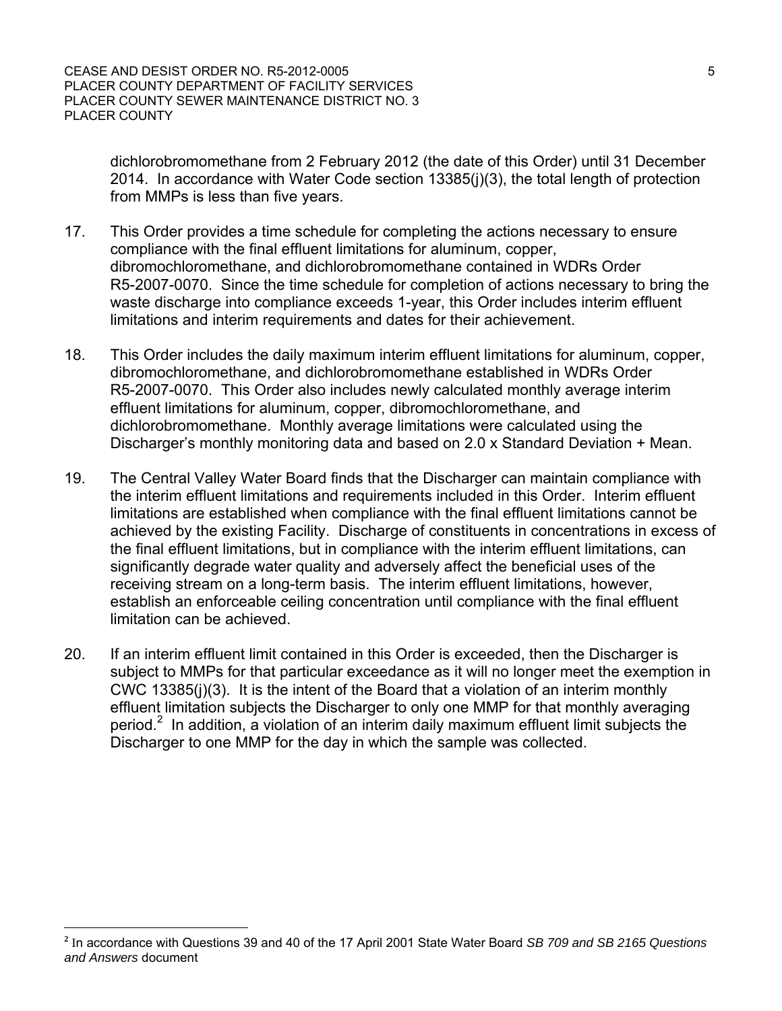dichlorobromomethane from 2 February 2012 (the date of this Order) until 31 December 2014. In accordance with Water Code section 13385(j)(3), the total length of protection from MMPs is less than five years.

- 17. This Order provides a time schedule for completing the actions necessary to ensure compliance with the final effluent limitations for aluminum, copper, dibromochloromethane, and dichlorobromomethane contained in WDRs Order R5-2007-0070. Since the time schedule for completion of actions necessary to bring the waste discharge into compliance exceeds 1-year, this Order includes interim effluent limitations and interim requirements and dates for their achievement.
- 18. This Order includes the daily maximum interim effluent limitations for aluminum, copper, dibromochloromethane, and dichlorobromomethane established in WDRs Order R5-2007-0070. This Order also includes newly calculated monthly average interim effluent limitations for aluminum, copper, dibromochloromethane, and dichlorobromomethane. Monthly average limitations were calculated using the Discharger's monthly monitoring data and based on 2.0 x Standard Deviation + Mean.
- 19. The Central Valley Water Board finds that the Discharger can maintain compliance with the interim effluent limitations and requirements included in this Order. Interim effluent limitations are established when compliance with the final effluent limitations cannot be achieved by the existing Facility. Discharge of constituents in concentrations in excess of the final effluent limitations, but in compliance with the interim effluent limitations, can significantly degrade water quality and adversely affect the beneficial uses of the receiving stream on a long-term basis. The interim effluent limitations, however, establish an enforceable ceiling concentration until compliance with the final effluent limitation can be achieved.
- 20. If an interim effluent limit contained in this Order is exceeded, then the Discharger is subject to MMPs for that particular exceedance as it will no longer meet the exemption in CWC 13385(j)(3). It is the intent of the Board that a violation of an interim monthly effluent limitation subjects the Discharger to only one MMP for that monthly averaging period.<sup>2</sup> In addition, a violation of an interim daily maximum effluent limit subjects the Discharger to one MMP for the day in which the sample was collected.

**<sup>2</sup>** In accordance with Questions 39 and 40 of the 17 April 2001 State Water Board *SB 709 and SB 2165 Questions and Answers* document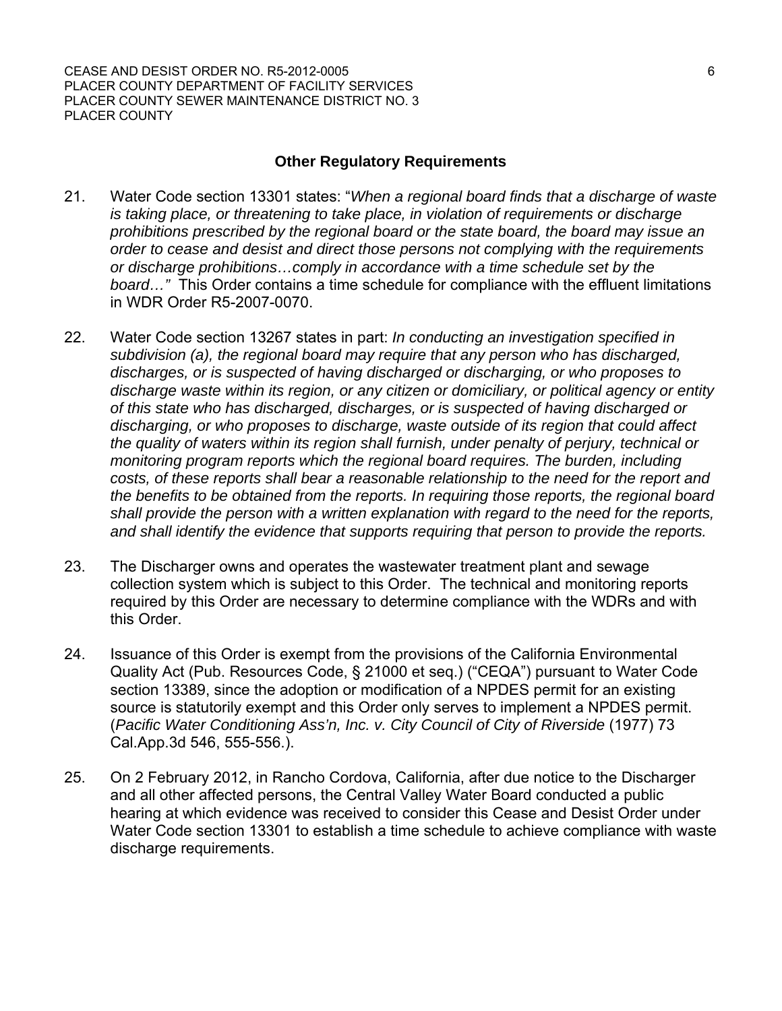#### **Other Regulatory Requirements**

- 21. Water Code section 13301 states: "*When a regional board finds that a discharge of waste is taking place, or threatening to take place, in violation of requirements or discharge prohibitions prescribed by the regional board or the state board, the board may issue an order to cease and desist and direct those persons not complying with the requirements or discharge prohibitions…comply in accordance with a time schedule set by the board…"* This Order contains a time schedule for compliance with the effluent limitations in WDR Order R5-2007-0070.
- 22. Water Code section 13267 states in part: *In conducting an investigation specified in subdivision (a), the regional board may require that any person who has discharged, discharges, or is suspected of having discharged or discharging, or who proposes to discharge waste within its region, or any citizen or domiciliary, or political agency or entity of this state who has discharged, discharges, or is suspected of having discharged or discharging, or who proposes to discharge, waste outside of its region that could affect the quality of waters within its region shall furnish, under penalty of perjury, technical or monitoring program reports which the regional board requires. The burden, including costs, of these reports shall bear a reasonable relationship to the need for the report and the benefits to be obtained from the reports. In requiring those reports, the regional board shall provide the person with a written explanation with regard to the need for the reports, and shall identify the evidence that supports requiring that person to provide the reports.*
- 23. The Discharger owns and operates the wastewater treatment plant and sewage collection system which is subject to this Order. The technical and monitoring reports required by this Order are necessary to determine compliance with the WDRs and with this Order.
- 24. Issuance of this Order is exempt from the provisions of the California Environmental Quality Act (Pub. Resources Code, § 21000 et seq.) ("CEQA") pursuant to Water Code section 13389, since the adoption or modification of a NPDES permit for an existing source is statutorily exempt and this Order only serves to implement a NPDES permit. (*Pacific Water Conditioning Ass'n, Inc. v. City Council of City of Riverside* (1977) 73 Cal.App.3d 546, 555-556.).
- 25. On 2 February 2012, in Rancho Cordova, California, after due notice to the Discharger and all other affected persons, the Central Valley Water Board conducted a public hearing at which evidence was received to consider this Cease and Desist Order under Water Code section 13301 to establish a time schedule to achieve compliance with waste discharge requirements.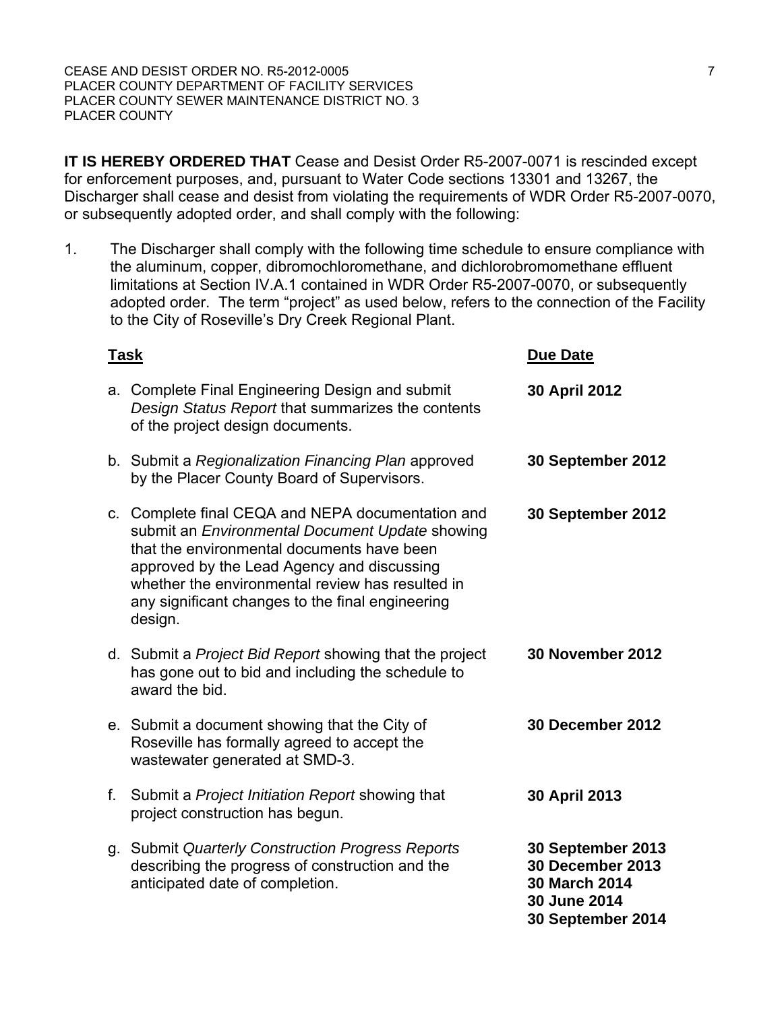**IT IS HEREBY ORDERED THAT** Cease and Desist Order R5-2007-0071 is rescinded except for enforcement purposes, and, pursuant to Water Code sections 13301 and 13267, the Discharger shall cease and desist from violating the requirements of WDR Order R5-2007-0070, or subsequently adopted order, and shall comply with the following:

1. The Discharger shall comply with the following time schedule to ensure compliance with the aluminum, copper, dibromochloromethane, and dichlorobromomethane effluent limitations at Section IV.A.1 contained in WDR Order R5-2007-0070, or subsequently adopted order. The term "project" as used below, refers to the connection of the Facility to the City of Roseville's Dry Creek Regional Plant.

| <b>Task</b> |                                                                                                                                                                                                                                                                                                                     | <b>Due Date</b>                                                                                           |
|-------------|---------------------------------------------------------------------------------------------------------------------------------------------------------------------------------------------------------------------------------------------------------------------------------------------------------------------|-----------------------------------------------------------------------------------------------------------|
|             | a. Complete Final Engineering Design and submit<br>Design Status Report that summarizes the contents<br>of the project design documents.                                                                                                                                                                            | <b>30 April 2012</b>                                                                                      |
|             | b. Submit a Regionalization Financing Plan approved<br>by the Placer County Board of Supervisors.                                                                                                                                                                                                                   | 30 September 2012                                                                                         |
|             | c. Complete final CEQA and NEPA documentation and<br>submit an Environmental Document Update showing<br>that the environmental documents have been<br>approved by the Lead Agency and discussing<br>whether the environmental review has resulted in<br>any significant changes to the final engineering<br>design. | 30 September 2012                                                                                         |
|             | d. Submit a <i>Project Bid Report</i> showing that the project<br>has gone out to bid and including the schedule to<br>award the bid.                                                                                                                                                                               | <b>30 November 2012</b>                                                                                   |
|             | e. Submit a document showing that the City of<br>Roseville has formally agreed to accept the<br>wastewater generated at SMD-3.                                                                                                                                                                                      | <b>30 December 2012</b>                                                                                   |
| f.          | Submit a Project Initiation Report showing that<br>project construction has begun.                                                                                                                                                                                                                                  | 30 April 2013                                                                                             |
|             | g. Submit Quarterly Construction Progress Reports<br>describing the progress of construction and the<br>anticipated date of completion.                                                                                                                                                                             | 30 September 2013<br><b>30 December 2013</b><br><b>30 March 2014</b><br>30 June 2014<br>30 September 2014 |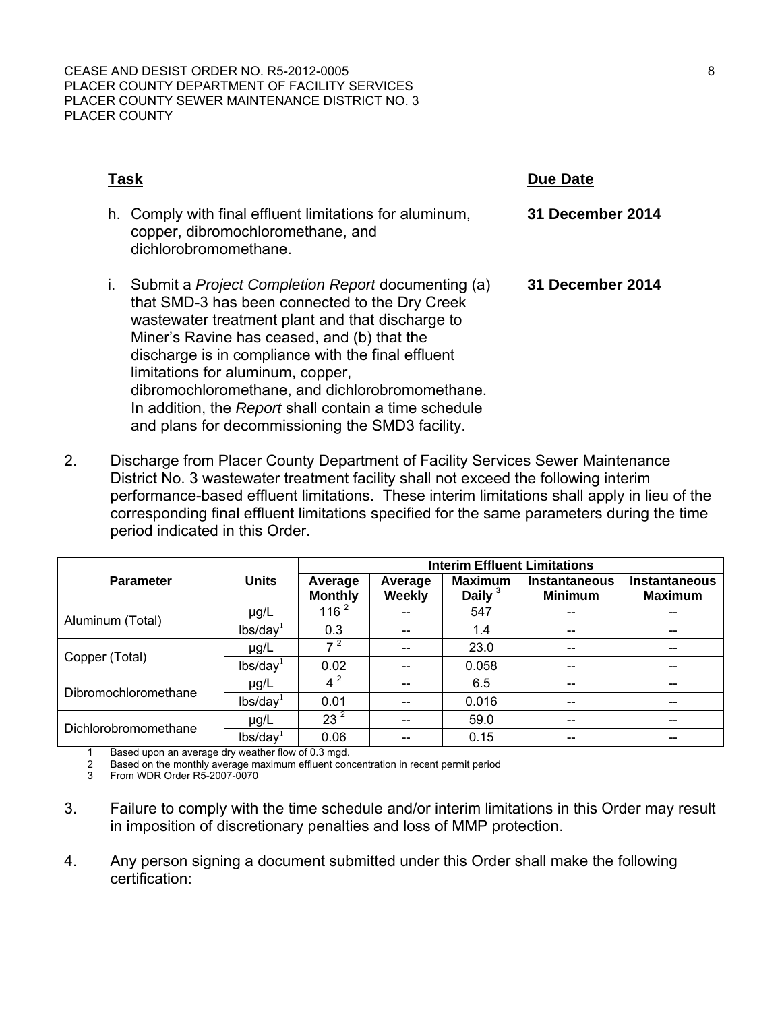| Task                                                                                                                                                                                                                                                                                                                                                                                                                                                                            | Due Date                |
|---------------------------------------------------------------------------------------------------------------------------------------------------------------------------------------------------------------------------------------------------------------------------------------------------------------------------------------------------------------------------------------------------------------------------------------------------------------------------------|-------------------------|
| h. Comply with final effluent limitations for aluminum,<br>copper, dibromochloromethane, and<br>dichlorobromomethane.                                                                                                                                                                                                                                                                                                                                                           | <b>31 December 2014</b> |
| Submit a <i>Project Completion Report</i> documenting (a)<br>L.<br>that SMD-3 has been connected to the Dry Creek<br>wastewater treatment plant and that discharge to<br>Miner's Ravine has ceased, and (b) that the<br>discharge is in compliance with the final effluent<br>limitations for aluminum, copper,<br>dibromochloromethane, and dichlorobromomethane.<br>In addition, the Report shall contain a time schedule<br>and plans for decommissioning the SMD3 facility. | 31 December 2014        |

2. Discharge from Placer County Department of Facility Services Sewer Maintenance District No. 3 wastewater treatment facility shall not exceed the following interim performance-based effluent limitations. These interim limitations shall apply in lieu of the corresponding final effluent limitations specified for the same parameters during the time period indicated in this Order.

|                      |                      | <b>Interim Effluent Limitations</b> |                          |                             |                                        |                                        |  |
|----------------------|----------------------|-------------------------------------|--------------------------|-----------------------------|----------------------------------------|----------------------------------------|--|
| <b>Parameter</b>     | <b>Units</b>         | Average<br><b>Monthly</b>           | Average<br><b>Weekly</b> | <b>Maximum</b><br>Daily $3$ | <b>Instantaneous</b><br><b>Minimum</b> | <b>Instantaneous</b><br><b>Maximum</b> |  |
| Aluminum (Total)     | $\mu$ g/L            | 116 <sup>2</sup>                    |                          | 547                         | $- -$                                  |                                        |  |
|                      | lbs/day <sup>1</sup> | 0.3                                 | --                       | 1.4                         | $- -$                                  |                                        |  |
| Copper (Total)       | $\mu$ g/L            |                                     | --                       | 23.0                        | --                                     |                                        |  |
|                      | lbs/day <sup>1</sup> | 0.02                                |                          | 0.058                       | $- -$                                  |                                        |  |
| Dibromochloromethane | µg/L                 | $4^2$                               |                          | 6.5                         | --                                     |                                        |  |
|                      | lbs/day <sup>1</sup> | 0.01                                |                          | 0.016                       | --                                     |                                        |  |
| Dichlorobromomethane | µg/L                 | 23 <sup>2</sup>                     |                          | 59.0                        |                                        |                                        |  |
|                      | lbs/day <sup>1</sup> | 0.06                                |                          | 0.15                        |                                        |                                        |  |

1 Based upon an average dry weather flow of 0.3 mgd.

2 Based on the monthly average maximum effluent concentration in recent permit period<br>3 Erom WDB Order R5-2007-0070

From WDR Order R5-2007-0070

- 3. Failure to comply with the time schedule and/or interim limitations in this Order may result in imposition of discretionary penalties and loss of MMP protection.
- 4. Any person signing a document submitted under this Order shall make the following certification: